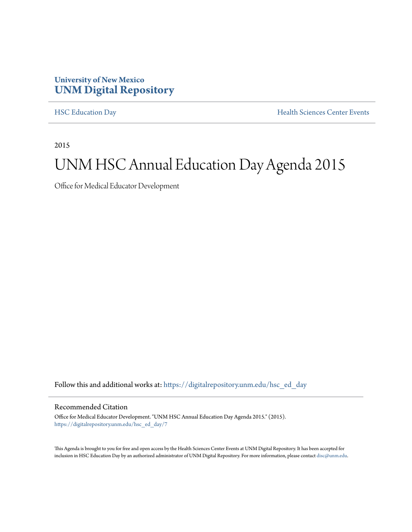## **University of New Mexico [UNM Digital Repository](https://digitalrepository.unm.edu?utm_source=digitalrepository.unm.edu%2Fhsc_ed_day%2F7&utm_medium=PDF&utm_campaign=PDFCoverPages)**

[HSC Education Day](https://digitalrepository.unm.edu/hsc_ed_day?utm_source=digitalrepository.unm.edu%2Fhsc_ed_day%2F7&utm_medium=PDF&utm_campaign=PDFCoverPages) **[Health Sciences Center Events](https://digitalrepository.unm.edu/hsc_events?utm_source=digitalrepository.unm.edu%2Fhsc_ed_day%2F7&utm_medium=PDF&utm_campaign=PDFCoverPages)** 

2015

## UNM HSC Annual Education Day Agenda 2015

Office for Medical Educator Development

Follow this and additional works at: [https://digitalrepository.unm.edu/hsc\\_ed\\_day](https://digitalrepository.unm.edu/hsc_ed_day?utm_source=digitalrepository.unm.edu%2Fhsc_ed_day%2F7&utm_medium=PDF&utm_campaign=PDFCoverPages)

## Recommended Citation

Office for Medical Educator Development. "UNM HSC Annual Education Day Agenda 2015." (2015). [https://digitalrepository.unm.edu/hsc\\_ed\\_day/7](https://digitalrepository.unm.edu/hsc_ed_day/7?utm_source=digitalrepository.unm.edu%2Fhsc_ed_day%2F7&utm_medium=PDF&utm_campaign=PDFCoverPages)

This Agenda is brought to you for free and open access by the Health Sciences Center Events at UNM Digital Repository. It has been accepted for inclusion in HSC Education Day by an authorized administrator of UNM Digital Repository. For more information, please contact [disc@unm.edu](mailto:disc@unm.edu).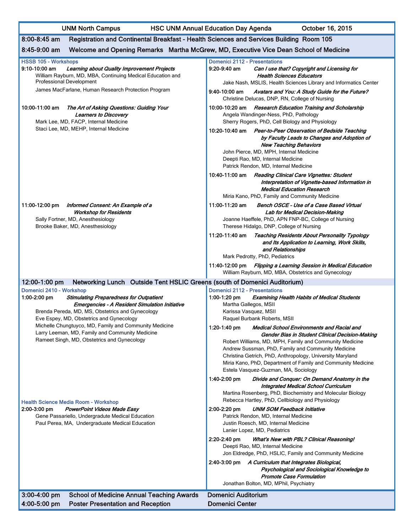UNM North Campus **HSC UNM Annual Education Day Agenda** October 16, 2015

| $8:00 - 8:45$ am<br>Registration and Continental Breakfast - Health Sciences and Services Building Room 105                                                                                                                                         |                                                                                                                                                                                                                                                                                                                                                                                                            |
|-----------------------------------------------------------------------------------------------------------------------------------------------------------------------------------------------------------------------------------------------------|------------------------------------------------------------------------------------------------------------------------------------------------------------------------------------------------------------------------------------------------------------------------------------------------------------------------------------------------------------------------------------------------------------|
| 8:45-9:00 am<br>Welcome and Opening Remarks Martha McGrew, MD, Executive Vice Dean School of Medicine                                                                                                                                               |                                                                                                                                                                                                                                                                                                                                                                                                            |
| <b>HSSB 105 - Workshops</b><br>9:10-10:00 am<br>Learning about Quality Improvement Projects<br>William Rayburn, MD, MBA, Continuing Medical Education and<br><b>Professional Development</b><br>James MacFarlane, Human Research Protection Program | <b>Domenici 2112 - Presentations</b><br>$9:20-9:40$ am<br>Can I use that? Copyright and Licensing for<br><b>Health Sciences Educators</b><br>Jake Nash, MSLIS, Health Sciences Library and Informatics Center<br>$9.40 - 10.00$ am<br>Avatars and You: A Study Guide for the Future?                                                                                                                       |
| 10:00-11:00 am<br>The Art of Asking Questions: Guiding Your<br><b>Learners to Discovery</b><br>Mark Lee, MD, FACP, Internal Medicine<br>Staci Lee, MD, MEHP, Internal Medicine                                                                      | Christine Delucas, DNP, RN, College of Nursing<br>10:00-10:20 am Research Education Training and Scholarship<br>Angela Wandinger-Ness, PhD, Pathology<br>Sherry Rogers, PhD, Cell Biology and Physiology<br>10:20-10:40 am Peer-to-Peer Observation of Bedside Teaching                                                                                                                                    |
|                                                                                                                                                                                                                                                     | by Faculty Leads to Changes and Adoption of<br><b>New Teaching Behaviors</b><br>John Pierce, MD, MPH, Internal Medicine<br>Deepti Rao, MD, Internal Medicine<br>Patrick Rendon, MD, Internal Medicine<br>10:40-11:00 am Reading Clinical Care Vignettes: Student<br>Interpretation of Vignette-based Information in<br><b>Medical Education Research</b><br>Miria Kano, PhD, Family and Community Medicine |
| 11:00-12:00 pm<br>Informed Consent: An Example of a<br>Workshop for Residents<br>Sally Fortner, MD, Anesthesiology<br>Brooke Baker, MD, Anesthesiology                                                                                              | 11:00-11:20 am<br>Bench OSCE - Use of a Case Based Virtual<br>Lab for Medical Decision-Making<br>Joanne Haeffele, PhD, APN FNP-BC, College of Nursing<br>Therese Hidalgo, DNP, College of Nursing                                                                                                                                                                                                          |
|                                                                                                                                                                                                                                                     | 11:20-11:40 am Teaching Residents About Personality Typology<br>and Its Application to Learning, Work Skills,<br>and Relationships<br>Mark Pedrotty, PhD, Pediatrics<br>11:40-12:00 pm Flipping a Learning Session in Medical Education<br>William Rayburn, MD, MBA, Obstetrics and Gynecology                                                                                                             |
| Networking Lunch Outside Tent HSLIC Greens (south of Domenici Auditorium)<br>12:00-1:00 pm                                                                                                                                                          |                                                                                                                                                                                                                                                                                                                                                                                                            |
| Domenici 2410 - Workshop<br>1:00-2:00 pm<br><b>Stimulating Preparedness for Outpatient</b><br>Emergencies - A Resident Simulation Initiative<br>Brenda Pereda, MD, MS, Obstetrics and Gynecology<br>Eve Espey, MD, Obstetrics and Gynecology        | <b>Domenici 2112 - Presentations</b><br>$1:00-1:20$ pm<br><b>Examining Health Habits of Medical Students</b><br>Martha Gallegos, MSII<br>Karissa Vasquez, MSII<br>Raquel Burbank Roberts, MSII                                                                                                                                                                                                             |
| Michelle Chungtuyco, MD, Family and Community Medicine<br>Larry Leeman, MD, Family and Community Medicine<br>Rameet Singh, MD, Obstetrics and Gynecology                                                                                            | 1:20-1:40 pm<br>Medical School Environments and Racial and<br>Gender Bias in Student Clinical Decision-Making<br>Robert Williams, MD, MPH, Family and Community Medicine<br>Andrew Sussman, PhD, Family and Community Medicine<br>Christina Getrich, PhD, Anthropology, University Maryland<br>Miria Kano, PhD, Department of Family and Community Medicine<br>Estela Vasquez-Guzman, MA, Sociology        |
| <b>Health Science Media Room - Workshop</b><br>2:00-3:00 pm<br><b>PowerPoint Videos Made Easy</b><br>Gene Passariello, Undergradute Medical Education<br>Paul Perea, MA, Undergraduate Medical Education                                            | 1:40-2:00 pm<br>Divide and Conquer: On Demand Anatomy in the<br>Integrated Medical School Curriculum<br>Martina Rosenberg, PhD, Biochemistry and Molecular Biology<br>Rebecca Hartley, PhD, Cellbiology and Physiology<br><b>UNM SOM Feedback Initiative</b><br>2:00-2:20 pm<br>Patrick Rendon, MD, Internal Medicine<br>Justin Roesch, MD, Internal Medicine                                              |
|                                                                                                                                                                                                                                                     | Lanier Lopez, MD, Pediatrics<br>2:20-2:40 pm<br><b>What's New with PBL? Clinical Reasoning!</b><br>Deepti Rao, MD, Internal Medicine<br>Jon Eldredge, PhD, HSLIC, Family and Community Medicine<br>2:40-3:00 pm A Curriculum that Integrates Biological,<br>Psychological and Sociological Knowledge to<br><b>Promote Case Formulation</b><br>Jonathan Bolton, MD, MPhil, Psychiatry                       |
| 3:00-4:00 pm<br><b>School of Medicine Annual Teaching Awards</b><br>4:00-5:00 pm<br><b>Poster Presentation and Reception</b>                                                                                                                        | Domenici Auditorium<br><b>Domenici Center</b>                                                                                                                                                                                                                                                                                                                                                              |